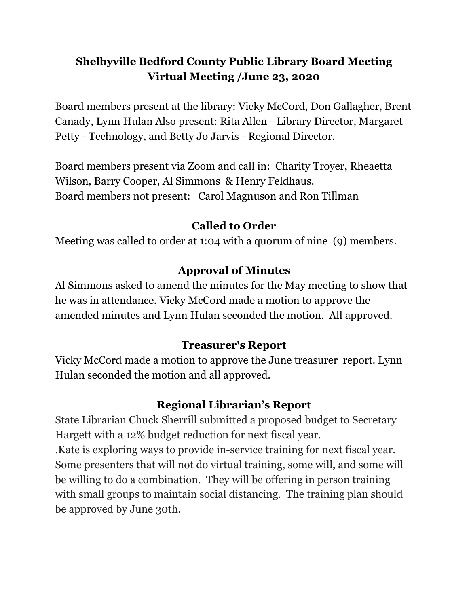## **Shelbyville Bedford County Public Library Board Meeting Virtual Meeting /June 23, 2020**

Board members present at the library: Vicky McCord, Don Gallagher, Brent Canady, Lynn Hulan Also present: Rita Allen - Library Director, Margaret Petty - Technology, and Betty Jo Jarvis - Regional Director.

Board members present via Zoom and call in: Charity Troyer, Rheaetta Wilson, Barry Cooper, Al Simmons & Henry Feldhaus. Board members not present: Carol Magnuson and Ron Tillman

### **Called to Order**

Meeting was called to order at 1:04 with a quorum of nine (9) members.

# **Approval of Minutes**

Al Simmons asked to amend the minutes for the May meeting to show that he was in attendance. Vicky McCord made a motion to approve the amended minutes and Lynn Hulan seconded the motion. All approved.

## **Treasurer's Report**

Vicky McCord made a motion to approve the June treasurer report. Lynn Hulan seconded the motion and all approved.

# **Regional Librarian's Report**

State Librarian Chuck Sherrill submitted a proposed budget to Secretary Hargett with a 12% budget reduction for next fiscal year.

.Kate is exploring ways to provide in-service training for next fiscal year. Some presenters that will not do virtual training, some will, and some will be willing to do a combination. They will be offering in person training with small groups to maintain social distancing. The training plan should be approved by June 30th.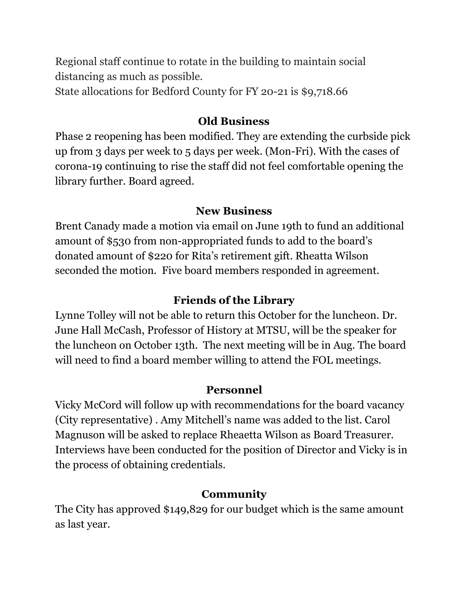Regional staff continue to rotate in the building to maintain social distancing as much as possible. State allocations for Bedford County for FY 20-21 is \$9,718.66

#### **Old Business**

Phase 2 reopening has been modified. They are extending the curbside pick up from 3 days per week to 5 days per week. (Mon-Fri). With the cases of corona-19 continuing to rise the staff did not feel comfortable opening the library further. Board agreed.

### **New Business**

Brent Canady made a motion via email on June 19th to fund an additional amount of \$530 from non-appropriated funds to add to the board's donated amount of \$220 for Rita's retirement gift. Rheatta Wilson seconded the motion. Five board members responded in agreement.

### **Friends of the Library**

Lynne Tolley will not be able to return this October for the luncheon. Dr. June Hall McCash, Professor of History at MTSU, will be the speaker for the luncheon on October 13th. The next meeting will be in Aug. The board will need to find a board member willing to attend the FOL meetings.

#### **Personnel**

Vicky McCord will follow up with recommendations for the board vacancy (City representative) . Amy Mitchell's name was added to the list. Carol Magnuson will be asked to replace Rheaetta Wilson as Board Treasurer. Interviews have been conducted for the position of Director and Vicky is in the process of obtaining credentials.

## **Community**

The City has approved \$149,829 for our budget which is the same amount as last year.